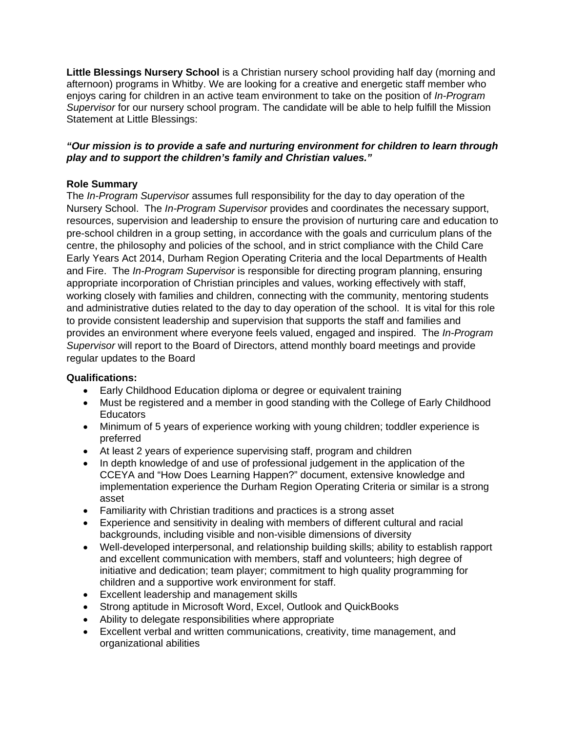**Little Blessings Nursery School** is a Christian nursery school providing half day (morning and afternoon) programs in Whitby. We are looking for a creative and energetic staff member who enjoys caring for children in an active team environment to take on the position of *In-Program Supervisor* for our nursery school program. The candidate will be able to help fulfill the Mission Statement at Little Blessings:

## *"Our mission is to provide a safe and nurturing environment for children to learn through play and to support the children's family and Christian values."*

## **Role Summary**

The *In-Program Supervisor* assumes full responsibility for the day to day operation of the Nursery School. The *In-Program Supervisor* provides and coordinates the necessary support, resources, supervision and leadership to ensure the provision of nurturing care and education to pre-school children in a group setting, in accordance with the goals and curriculum plans of the centre, the philosophy and policies of the school, and in strict compliance with the Child Care Early Years Act 2014, Durham Region Operating Criteria and the local Departments of Health and Fire. The *In-Program Supervisor* is responsible for directing program planning, ensuring appropriate incorporation of Christian principles and values, working effectively with staff, working closely with families and children, connecting with the community, mentoring students and administrative duties related to the day to day operation of the school. It is vital for this role to provide consistent leadership and supervision that supports the staff and families and provides an environment where everyone feels valued, engaged and inspired. The *In-Program Supervisor* will report to the Board of Directors, attend monthly board meetings and provide regular updates to the Board

## **Qualifications:**

- Early Childhood Education diploma or degree or equivalent training
- Must be registered and a member in good standing with the College of Early Childhood **Educators**
- Minimum of 5 years of experience working with young children; toddler experience is preferred
- At least 2 years of experience supervising staff, program and children
- In depth knowledge of and use of professional judgement in the application of the CCEYA and "How Does Learning Happen?" document, extensive knowledge and implementation experience the Durham Region Operating Criteria or similar is a strong asset
- Familiarity with Christian traditions and practices is a strong asset
- Experience and sensitivity in dealing with members of different cultural and racial backgrounds, including visible and non-visible dimensions of diversity
- Well-developed interpersonal, and relationship building skills; ability to establish rapport and excellent communication with members, staff and volunteers; high degree of initiative and dedication; team player; commitment to high quality programming for children and a supportive work environment for staff.
- Excellent leadership and management skills
- Strong aptitude in Microsoft Word, Excel, Outlook and QuickBooks
- Ability to delegate responsibilities where appropriate
- Excellent verbal and written communications, creativity, time management, and organizational abilities